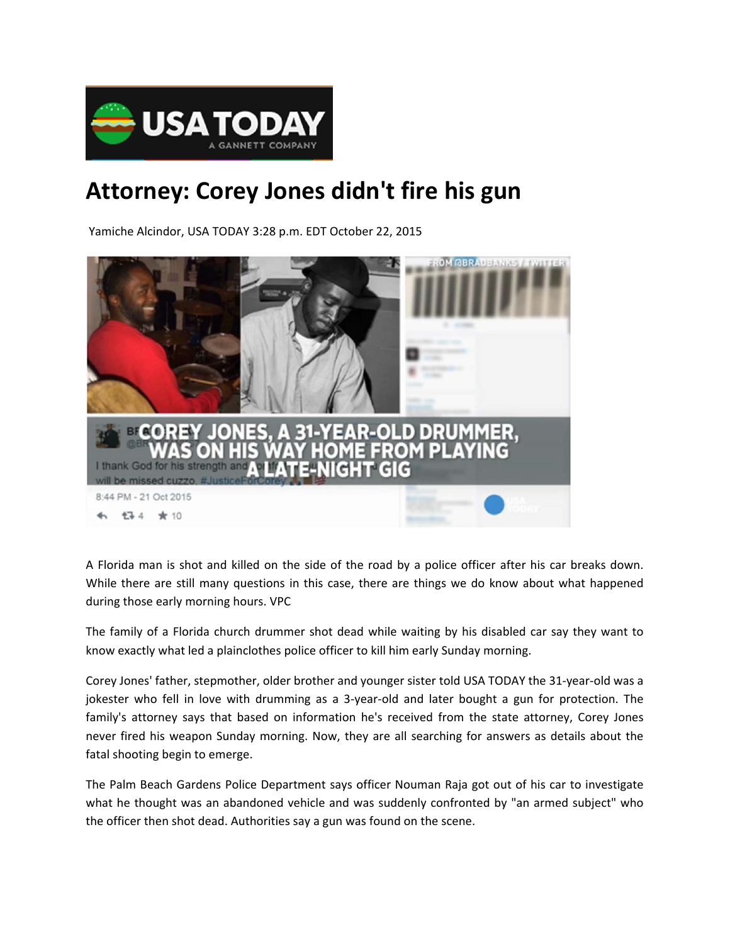

## **Attorney: Corey Jones didn't fire his gun**

Yamiche Alcindor, USA TODAY 3:28 p.m. EDT October 22, 2015



A Florida man is shot and killed on the side of the road by a police officer after his car breaks down. While there are still many questions in this case, there are things we do know about what happened during those early morning hours. VPC

The family of a Florida church drummer shot dead while waiting by his disabled car say they want to know exactly what led a plainclothes police officer to kill him early Sunday morning.

Corey Jones' father, stepmother, older brother and younger sister told USA TODAY the 31‐year‐old was a jokester who fell in love with drumming as a 3‐year‐old and later bought a gun for protection. The family's attorney says that based on information he's received from the state attorney, Corey Jones never fired his weapon Sunday morning. Now, they are all searching for answers as details about the fatal shooting begin to emerge.

The Palm Beach Gardens Police Department says officer Nouman Raja got out of his car to investigate what he thought was an abandoned vehicle and was suddenly confronted by "an armed subject" who the officer then shot dead. Authorities say a gun was found on the scene.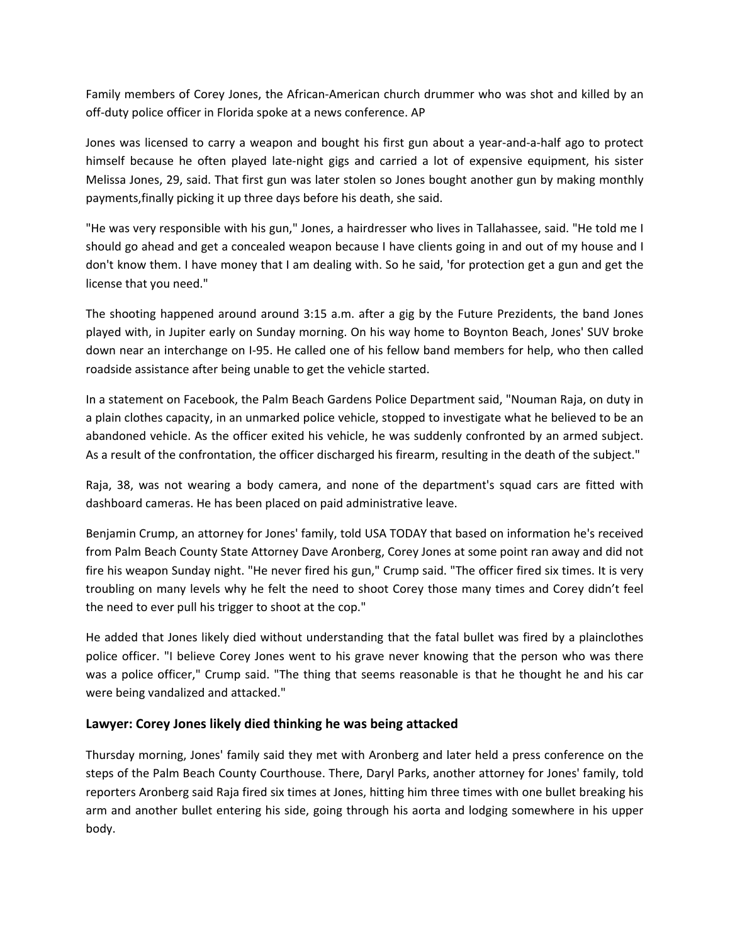Family members of Corey Jones, the African‐American church drummer who was shot and killed by an off-duty police officer in Florida spoke at a news conference. AP

Jones was licensed to carry a weapon and bought his first gun about a year‐and‐a‐half ago to protect himself because he often played late‐night gigs and carried a lot of expensive equipment, his sister Melissa Jones, 29, said. That first gun was later stolen so Jones bought another gun by making monthly payments,finally picking it up three days before his death, she said.

"He was very responsible with his gun," Jones, a hairdresser who lives in Tallahassee, said. "He told me I should go ahead and get a concealed weapon because I have clients going in and out of my house and I don't know them. I have money that I am dealing with. So he said, 'for protection get a gun and get the license that you need."

The shooting happened around around 3:15 a.m. after a gig by the Future Prezidents, the band Jones played with, in Jupiter early on Sunday morning. On his way home to Boynton Beach, Jones' SUV broke down near an interchange on I‐95. He called one of his fellow band members for help, who then called roadside assistance after being unable to get the vehicle started.

In a statement on Facebook, the Palm Beach Gardens Police Department said, "Nouman Raja, on duty in a plain clothes capacity, in an unmarked police vehicle, stopped to investigate what he believed to be an abandoned vehicle. As the officer exited his vehicle, he was suddenly confronted by an armed subject. As a result of the confrontation, the officer discharged his firearm, resulting in the death of the subject."

Raja, 38, was not wearing a body camera, and none of the department's squad cars are fitted with dashboard cameras. He has been placed on paid administrative leave.

Benjamin Crump, an attorney for Jones' family, told USA TODAY that based on information he's received from Palm Beach County State Attorney Dave Aronberg, Corey Jones at some point ran away and did not fire his weapon Sunday night. "He never fired his gun," Crump said. "The officer fired six times. It is very troubling on many levels why he felt the need to shoot Corey those many times and Corey didn't feel the need to ever pull his trigger to shoot at the cop."

He added that Jones likely died without understanding that the fatal bullet was fired by a plainclothes police officer. "I believe Corey Jones went to his grave never knowing that the person who was there was a police officer," Crump said. "The thing that seems reasonable is that he thought he and his car were being vandalized and attacked."

## **Lawyer: Corey Jones likely died thinking he was being attacked**

Thursday morning, Jones' family said they met with Aronberg and later held a press conference on the steps of the Palm Beach County Courthouse. There, Daryl Parks, another attorney for Jones' family, told reporters Aronberg said Raja fired six times at Jones, hitting him three times with one bullet breaking his arm and another bullet entering his side, going through his aorta and lodging somewhere in his upper body.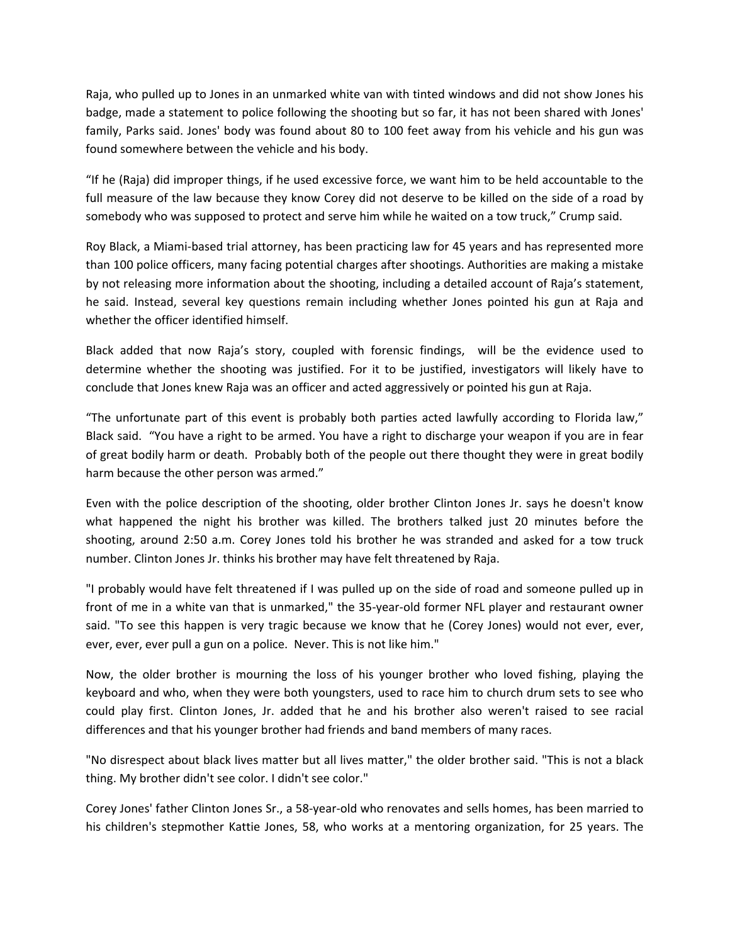Raja, who pulled up to Jones in an unmarked white van with tinted windows and did not show Jones his badge, made a statement to police following the shooting but so far, it has not been shared with Jones' family, Parks said. Jones' body was found about 80 to 100 feet away from his vehicle and his gun was found somewhere between the vehicle and his body.

"If he (Raja) did improper things, if he used excessive force, we want him to be held accountable to the full measure of the law because they know Corey did not deserve to be killed on the side of a road by somebody who was supposed to protect and serve him while he waited on a tow truck," Crump said.

Roy Black, a Miami‐based trial attorney, has been practicing law for 45 years and has represented more than 100 police officers, many facing potential charges after shootings. Authorities are making a mistake by not releasing more information about the shooting, including a detailed account of Raja's statement, he said. Instead, several key questions remain including whether Jones pointed his gun at Raja and whether the officer identified himself.

Black added that now Raja's story, coupled with forensic findings, will be the evidence used to determine whether the shooting was justified. For it to be justified, investigators will likely have to conclude that Jones knew Raja was an officer and acted aggressively or pointed his gun at Raja.

"The unfortunate part of this event is probably both parties acted lawfully according to Florida law," Black said. "You have a right to be armed. You have a right to discharge your weapon if you are in fear of great bodily harm or death. Probably both of the people out there thought they were in great bodily harm because the other person was armed."

Even with the police description of the shooting, older brother Clinton Jones Jr. says he doesn't know what happened the night his brother was killed. The brothers talked just 20 minutes before the shooting, around 2:50 a.m. Corey Jones told his brother he was stranded and asked for a tow truck number. Clinton Jones Jr. thinks his brother may have felt threatened by Raja.

"I probably would have felt threatened if I was pulled up on the side of road and someone pulled up in front of me in a white van that is unmarked," the 35‐year‐old former NFL player and restaurant owner said. "To see this happen is very tragic because we know that he (Corey Jones) would not ever, ever, ever, ever, ever pull a gun on a police. Never. This is not like him."

Now, the older brother is mourning the loss of his younger brother who loved fishing, playing the keyboard and who, when they were both youngsters, used to race him to church drum sets to see who could play first. Clinton Jones, Jr. added that he and his brother also weren't raised to see racial differences and that his younger brother had friends and band members of many races.

"No disrespect about black lives matter but all lives matter," the older brother said. "This is not a black thing. My brother didn't see color. I didn't see color."

Corey Jones' father Clinton Jones Sr., a 58‐year‐old who renovates and sells homes, has been married to his children's stepmother Kattie Jones, 58, who works at a mentoring organization, for 25 years. The